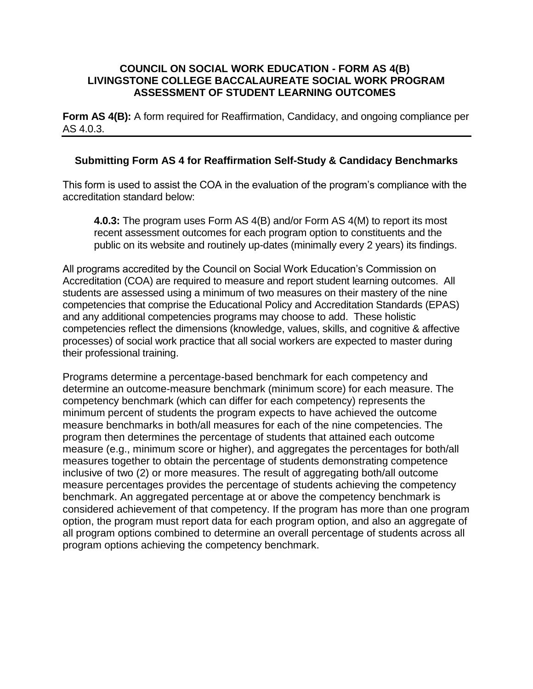#### **COUNCIL ON SOCIAL WORK EDUCATION - FORM AS 4(B) LIVINGSTONE COLLEGE BACCALAUREATE SOCIAL WORK PROGRAM ASSESSMENT OF STUDENT LEARNING OUTCOMES**

**Form AS 4(B):** A form required for Reaffirmation, Candidacy, and ongoing compliance per AS 4.0.3.

### **Submitting Form AS 4 for Reaffirmation Self-Study & Candidacy Benchmarks**

This form is used to assist the COA in the evaluation of the program's compliance with the accreditation standard below:

**4.0.3:** The program uses Form AS 4(B) and/or Form AS 4(M) to report its most recent assessment outcomes for each program option to constituents and the public on its website and routinely up-dates (minimally every 2 years) its findings.

All programs accredited by the Council on Social Work Education's Commission on Accreditation (COA) are required to measure and report student learning outcomes. All students are assessed using a minimum of two measures on their mastery of the nine competencies that comprise the Educational Policy and Accreditation Standards (EPAS) and any additional competencies programs may choose to add. These holistic competencies reflect the dimensions (knowledge, values, skills, and cognitive & affective processes) of social work practice that all social workers are expected to master during their professional training.

Programs determine a percentage-based benchmark for each competency and determine an outcome-measure benchmark (minimum score) for each measure. The competency benchmark (which can differ for each competency) represents the minimum percent of students the program expects to have achieved the outcome measure benchmarks in both/all measures for each of the nine competencies. The program then determines the percentage of students that attained each outcome measure (e.g., minimum score or higher), and aggregates the percentages for both/all measures together to obtain the percentage of students demonstrating competence inclusive of two (2) or more measures. The result of aggregating both/all outcome measure percentages provides the percentage of students achieving the competency benchmark. An aggregated percentage at or above the competency benchmark is considered achievement of that competency. If the program has more than one program option, the program must report data for each program option, and also an aggregate of all program options combined to determine an overall percentage of students across all program options achieving the competency benchmark.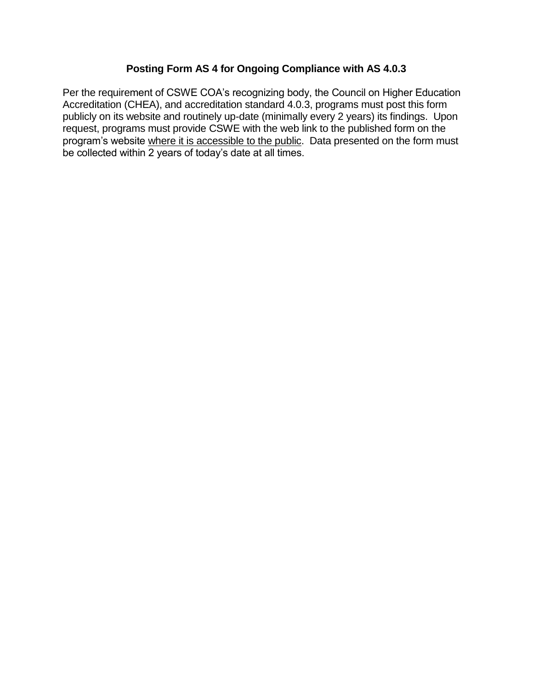## **Posting Form AS 4 for Ongoing Compliance with AS 4.0.3**

Per the requirement of CSWE COA's recognizing body, the Council on Higher Education Accreditation (CHEA), and accreditation standard 4.0.3, programs must post this form publicly on its website and routinely up-date (minimally every 2 years) its findings. Upon request, programs must provide CSWE with the web link to the published form on the program's website where it is accessible to the public. Data presented on the form must be collected within 2 years of today's date at all times.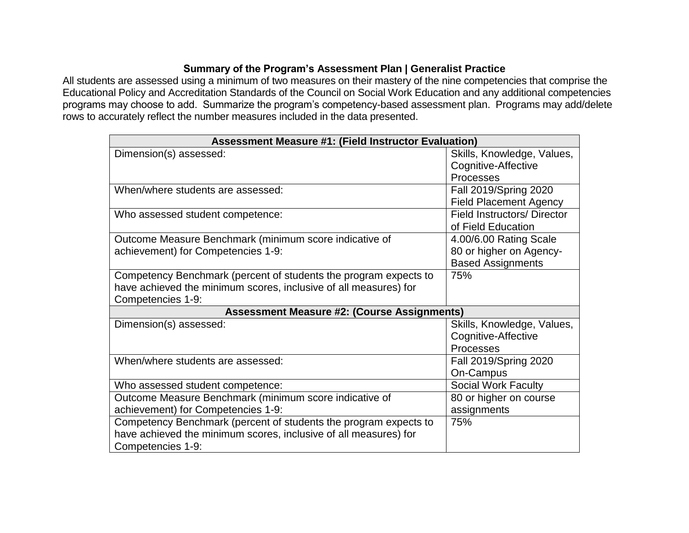## **Summary of the Program's Assessment Plan | Generalist Practice**

All students are assessed using a minimum of two measures on their mastery of the nine competencies that comprise the Educational Policy and Accreditation Standards of the Council on Social Work Education and any additional competencies programs may choose to add. Summarize the program's competency-based assessment plan. Programs may add/delete rows to accurately reflect the number measures included in the data presented.

| <b>Assessment Measure #1: (Field Instructor Evaluation)</b>      |                                    |  |  |  |
|------------------------------------------------------------------|------------------------------------|--|--|--|
| Dimension(s) assessed:                                           | Skills, Knowledge, Values,         |  |  |  |
|                                                                  | Cognitive-Affective                |  |  |  |
|                                                                  | Processes                          |  |  |  |
| When/where students are assessed:                                | <b>Fall 2019/Spring 2020</b>       |  |  |  |
|                                                                  | <b>Field Placement Agency</b>      |  |  |  |
| Who assessed student competence:                                 | <b>Field Instructors/ Director</b> |  |  |  |
|                                                                  | of Field Education                 |  |  |  |
| Outcome Measure Benchmark (minimum score indicative of           | 4.00/6.00 Rating Scale             |  |  |  |
| achievement) for Competencies 1-9:                               | 80 or higher on Agency-            |  |  |  |
|                                                                  | <b>Based Assignments</b>           |  |  |  |
| Competency Benchmark (percent of students the program expects to | 75%                                |  |  |  |
| have achieved the minimum scores, inclusive of all measures) for |                                    |  |  |  |
| Competencies 1-9:                                                |                                    |  |  |  |
| <b>Assessment Measure #2: (Course Assignments)</b>               |                                    |  |  |  |
| Dimension(s) assessed:                                           | Skills, Knowledge, Values,         |  |  |  |
|                                                                  | Cognitive-Affective                |  |  |  |
|                                                                  | Processes                          |  |  |  |
| When/where students are assessed:                                | Fall 2019/Spring 2020              |  |  |  |
|                                                                  | On-Campus                          |  |  |  |
| Who assessed student competence:                                 | <b>Social Work Faculty</b>         |  |  |  |
| Outcome Measure Benchmark (minimum score indicative of           | 80 or higher on course             |  |  |  |
| achievement) for Competencies 1-9:                               | assignments                        |  |  |  |
| Competency Benchmark (percent of students the program expects to | 75%                                |  |  |  |
| have achieved the minimum scores, inclusive of all measures) for |                                    |  |  |  |
| Competencies 1-9:                                                |                                    |  |  |  |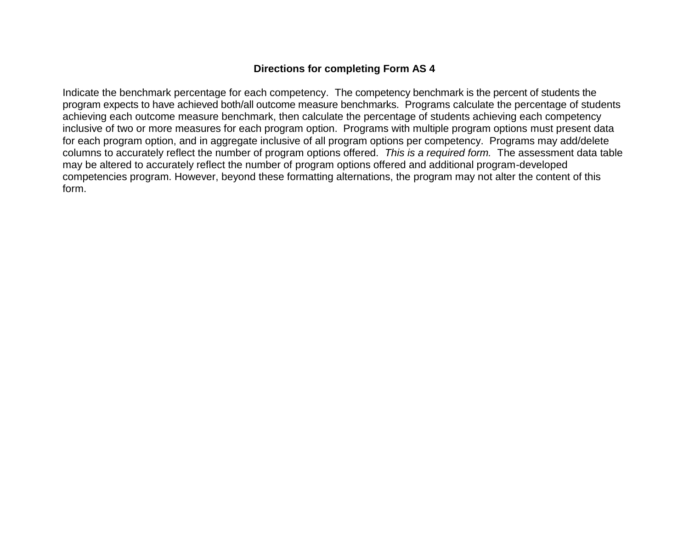## **Directions for completing Form AS 4**

Indicate the benchmark percentage for each competency. The competency benchmark is the percent of students the program expects to have achieved both/all outcome measure benchmarks. Programs calculate the percentage of students achieving each outcome measure benchmark, then calculate the percentage of students achieving each competency inclusive of two or more measures for each program option. Programs with multiple program options must present data for each program option, and in aggregate inclusive of all program options per competency. Programs may add/delete columns to accurately reflect the number of program options offered. *This is a required form.* The assessment data table may be altered to accurately reflect the number of program options offered and additional program-developed competencies program. However, beyond these formatting alternations, the program may not alter the content of this form.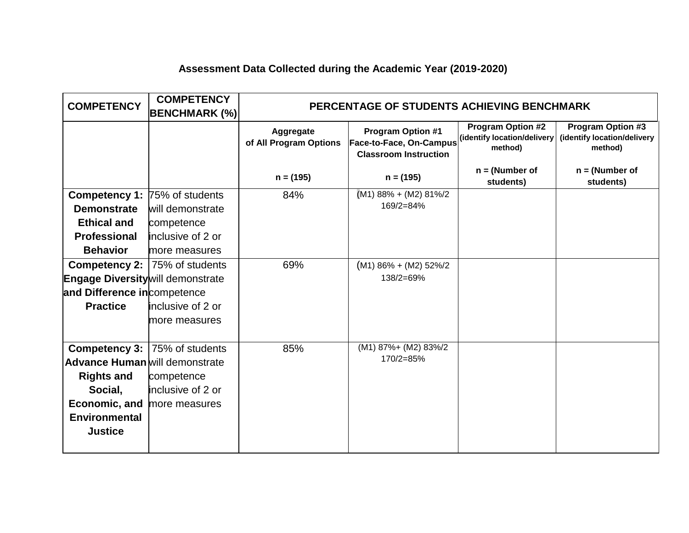# **Assessment Data Collected during the Academic Year (2019-2020)**

| <b>COMPETENCY</b>                        | <b>COMPETENCY</b><br><b>BENCHMARK (%)</b> | PERCENTAGE OF STUDENTS ACHIEVING BENCHMARK |                                                                                     |                                                                    |                                                                    |
|------------------------------------------|-------------------------------------------|--------------------------------------------|-------------------------------------------------------------------------------------|--------------------------------------------------------------------|--------------------------------------------------------------------|
|                                          |                                           | Aggregate<br>of All Program Options        | <b>Program Option #1</b><br>Face-to-Face, On-Campus<br><b>Classroom Instruction</b> | <b>Program Option #2</b><br>(identify location/delivery<br>method) | <b>Program Option #3</b><br>(identify location/delivery<br>method) |
|                                          |                                           | $n = (195)$                                | $n = (195)$                                                                         | $n = (Number of$<br>students)                                      | $n = (Number of$<br>students)                                      |
| <b>Competency 1: 75% of students</b>     |                                           | 84%                                        | $(M1) 88% + (M2) 81%$                                                               |                                                                    |                                                                    |
| <b>Demonstrate</b>                       | will demonstrate                          |                                            | 169/2=84%                                                                           |                                                                    |                                                                    |
| <b>Ethical and</b>                       | competence                                |                                            |                                                                                     |                                                                    |                                                                    |
| <b>Professional</b>                      | inclusive of 2 or                         |                                            |                                                                                     |                                                                    |                                                                    |
| <b>Behavior</b>                          | more measures                             |                                            |                                                                                     |                                                                    |                                                                    |
|                                          | <b>Competency 2: 75% of students</b>      | 69%                                        | $(M1)$ 86% + (M2) 52%/2                                                             |                                                                    |                                                                    |
| <b>Engage Diversity will demonstrate</b> |                                           |                                            | 138/2=69%                                                                           |                                                                    |                                                                    |
| and Difference incompetence              |                                           |                                            |                                                                                     |                                                                    |                                                                    |
| <b>Practice</b>                          | inclusive of 2 or                         |                                            |                                                                                     |                                                                    |                                                                    |
|                                          | more measures                             |                                            |                                                                                     |                                                                    |                                                                    |
|                                          |                                           |                                            |                                                                                     |                                                                    |                                                                    |
| Competency 3:                            | 75% of students                           | 85%                                        | (M1) 87%+ (M2) 83%/2                                                                |                                                                    |                                                                    |
| <b>Advance Human</b> will demonstrate    |                                           |                                            | 170/2=85%                                                                           |                                                                    |                                                                    |
| <b>Rights and</b>                        | competence                                |                                            |                                                                                     |                                                                    |                                                                    |
| Social,                                  | inclusive of 2 or                         |                                            |                                                                                     |                                                                    |                                                                    |
| <b>Economic, and more measures</b>       |                                           |                                            |                                                                                     |                                                                    |                                                                    |
| <b>Environmental</b>                     |                                           |                                            |                                                                                     |                                                                    |                                                                    |
| <b>Justice</b>                           |                                           |                                            |                                                                                     |                                                                    |                                                                    |
|                                          |                                           |                                            |                                                                                     |                                                                    |                                                                    |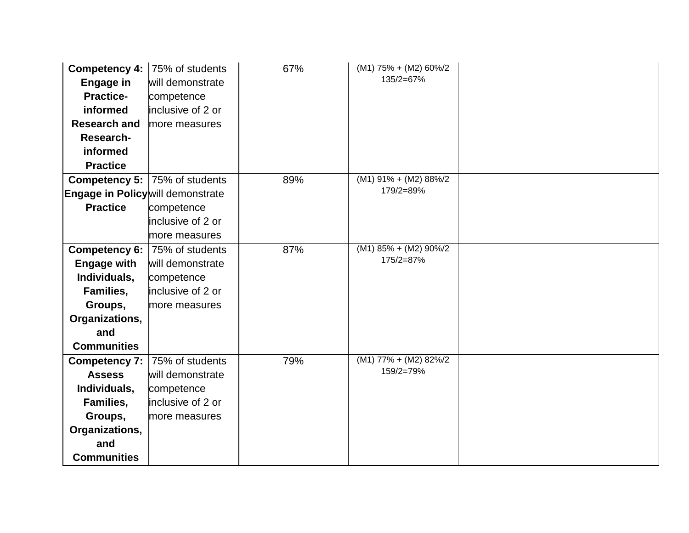| Competency 4:  <br><b>Engage in</b><br><b>Practice-</b><br>informed<br><b>Research and</b> | 75% of students<br>will demonstrate<br>competence<br>inclusive of 2 or<br>more measures | 67% | $(M1) 75% + (M2) 60\%/2$<br>135/2=67% |  |
|--------------------------------------------------------------------------------------------|-----------------------------------------------------------------------------------------|-----|---------------------------------------|--|
| Research-                                                                                  |                                                                                         |     |                                       |  |
| informed                                                                                   |                                                                                         |     |                                       |  |
| <b>Practice</b>                                                                            |                                                                                         |     |                                       |  |
|                                                                                            | <b>Competency 5: 75% of students</b>                                                    | 89% | $(M1)$ 91% + $(M2)$ 88%/2             |  |
| Engage in Policy will demonstrate                                                          |                                                                                         |     | 179/2=89%                             |  |
| <b>Practice</b>                                                                            | competence                                                                              |     |                                       |  |
|                                                                                            | inclusive of 2 or                                                                       |     |                                       |  |
|                                                                                            | more measures                                                                           |     |                                       |  |
| Competency 6:                                                                              | 75% of students                                                                         | 87% | $(M1)$ 85% + $(M2)$ 90%/2             |  |
| <b>Engage with</b>                                                                         | will demonstrate                                                                        |     | 175/2=87%                             |  |
| Individuals,                                                                               | competence                                                                              |     |                                       |  |
| Families,                                                                                  | inclusive of 2 or                                                                       |     |                                       |  |
| Groups,                                                                                    | more measures                                                                           |     |                                       |  |
| Organizations,                                                                             |                                                                                         |     |                                       |  |
| and                                                                                        |                                                                                         |     |                                       |  |
| <b>Communities</b>                                                                         |                                                                                         |     |                                       |  |
| <b>Competency 7:</b>                                                                       | 75% of students                                                                         | 79% | $(M1) 77\% + (M2) 82\%/2$             |  |
| <b>Assess</b>                                                                              | will demonstrate                                                                        |     | 159/2=79%                             |  |
| Individuals,                                                                               | competence                                                                              |     |                                       |  |
| Families,                                                                                  | inclusive of 2 or                                                                       |     |                                       |  |
| Groups,                                                                                    | more measures                                                                           |     |                                       |  |
| Organizations,                                                                             |                                                                                         |     |                                       |  |
| and                                                                                        |                                                                                         |     |                                       |  |
| <b>Communities</b>                                                                         |                                                                                         |     |                                       |  |